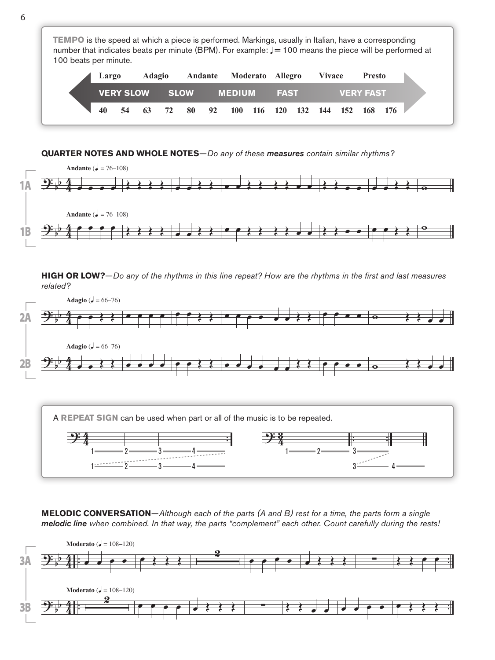**TEMPO** is the speed at which a piece is performed. Markings, usually in Italian, have a corresponding number that indicates beats per minute (BPM). For example:  $J = 100$  means the piece will be performed at 100 beats per minute. **VERY SLOW SLOW MEDIUM FAST VERY FAST 40 54 63 72 80 92 100 116 120 132 144 152 168 176 Largo Adagio Andante Moderato Allegro Vivace Presto**

## **QUARTER NOTES AND WHOLE NOTES**—*Do any of these measures contain similar rhythms?*



**HIGH OR LOW?**—*Do any of the rhythms in this line repeat? How are the rhythms in the first and last measures related?*



**MELODIC CONVERSATION**—*Although each of the parts (A and B) rest for a time, the parts form a single melodic line when combined. In that way, the parts "complement" each other. Count carefully during the rests!*

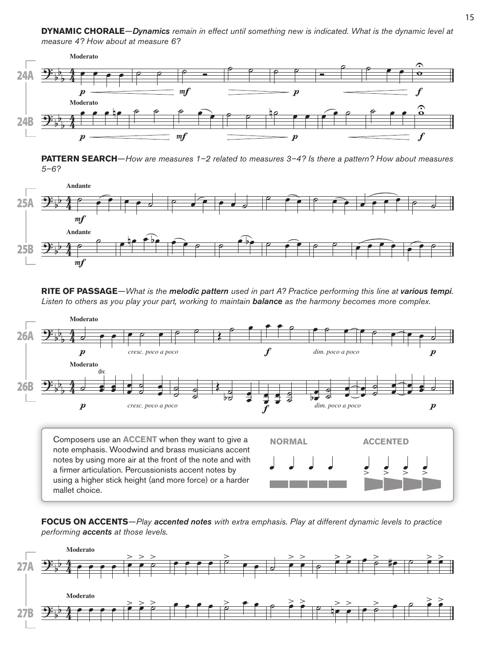**DYNAMIC CHORALE**—*Dynamics remain in effect until something new is indicated. What is the dynamic level at measure 4? How about at measure 6?*



**PATTERN SEARCH**—*How are measures 1–2 related to measures 3–4? Is there a pattern? How about measures 5–6?*



**RITE OF PASSAGE**—*What is the melodic pattern used in part A? Practice performing this line at various tempi. Listen to others as you play your part, working to maintain balance as the harmony becomes more complex.*



note emphasis. Woodwind and brass musicians accent notes by using more air at the front of the note and with a firmer articulation. Percussionists accent notes by using a higher stick height (and more force) or a harder mallet choice.



**FOCUS ON ACCENTS**—*Play accented notes with extra emphasis. Play at different dynamic levels to practice performing accents at those levels.*

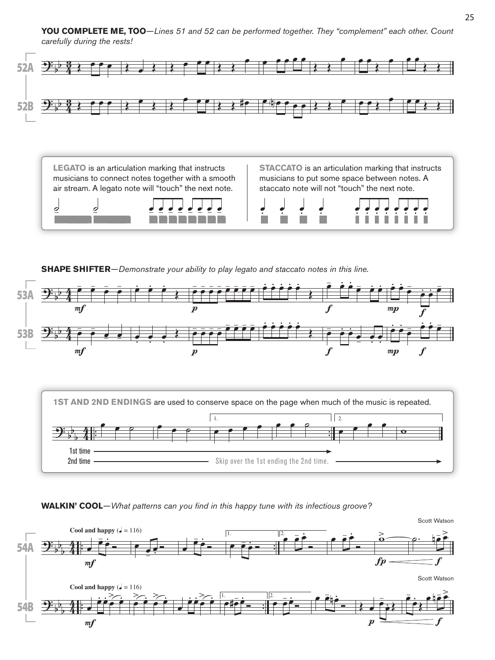**YOU COMPLETE ME, TOO**—*Lines 51 and 52 can be performed together. They "complement" each other. Count carefully during the rests!*



**LEGATO** is an articulation marking that instructs musicians to connect notes together with a smooth air stream. A legato note will "touch" the next note.

**STACCATO** is an articulation marking that instructs musicians to put some space between notes. A staccato note will not "touch" the next note.



.<br>.<br>. .<br>.<br>. .<br>.<br>. 2 | 2 2 2 2 - 2 .<br>. . .<br>. . .<br>. . .<br>. . .<br>. . .<br>. . .<br>.<br>. .

**SHAPE SHIFTER**—*Demonstrate your ability to play legato and staccato notes in this line.*





**WALKIN' COOL**—*What patterns can you find in this happy tune with its infectious groove?*

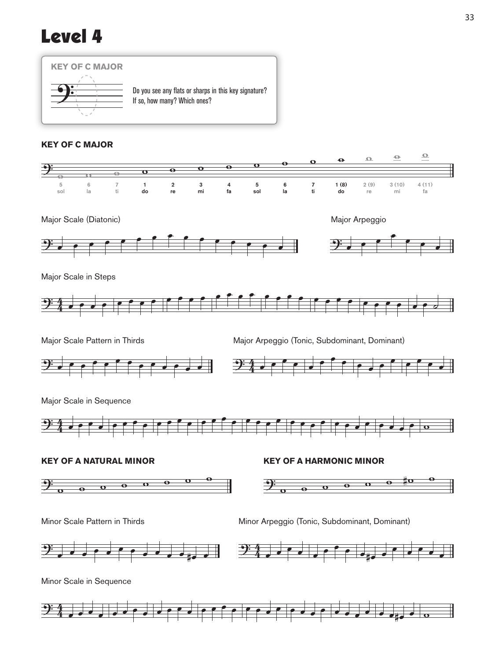## Level 4



## **KEY OF C MAJOR**





Major Scale in Steps



Major Scale Pattern in Thirds **Major Arpeggio (Tonic, Subdominant, Dominant)** 



Major Scale in Sequence

















 $\Rightarrow$ 4 <sup>œ</sup> <sup>œ</sup> <sup>œ</sup> <sup>œ</sup> <sup>œ</sup> <sup>œ</sup> <sup>œ</sup> <sup>œ</sup> <sup>œ</sup> <sup>œ</sup> <sup>œ</sup> <sup>œ</sup> <sup>œ</sup> <sup>œ</sup> <sup>œ</sup> <sup>œ</sup> <sup>œ</sup> <sup>œ</sup> <sup>œ</sup> <sup>œ</sup> <sup>œ</sup> <sup>œ</sup> <sup>œ</sup> <sup>œ</sup> <sup>œ</sup> <sup>œ</sup> <sup>œ</sup> <sup>œ</sup> <sup>œ</sup> œ#œ <sup>œ</sup> <sup>w</sup>